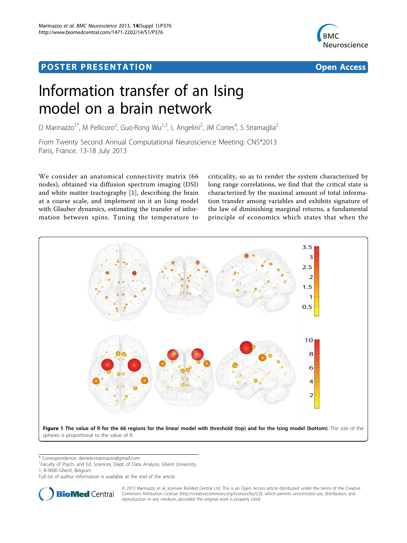# Post Experimental Police in the St English Police in the St English Police in the St English Police in the St<br>Police in the St English Police in the St English Police in the St English Police in the St English Police in



# Information transfer of an Ising model on a brain network

D Marinazzo<sup>1\*</sup>, M Pellicoro<sup>2</sup>, Guo-Rong Wu<sup>1,3</sup>, L Angelini<sup>2</sup>, JM Cortes<sup>4</sup>, S Stramaglia<sup>2</sup>

From Twenty Second Annual Computational Neuroscience Meeting: CNS\*2013 Paris, France. 13-18 July 2013

We consider an anatomical connectivity matrix (66 nodes), obtained via diffusion spectrum imaging (DSI) and white matter tractography [[1](#page-1-0)], describing the brain at a coarse scale, and implement on it an Ising model with Glauber dynamics, estimating the transfer of information between spins. Tuning the temperature to

criticality, so as to render the system characterized by long range correlations, we find that the critical state is characterized by the maximal amount of total information transfer among variables and exhibits signature of the law of diminishing marginal returns, a fundamental principle of economics which states that when the



\* Correspondence: [daniele.marinazzo@gmail.com](mailto:daniele.marinazzo@gmail.com)

<sup>1</sup> Faculty of Psych. and Ed. Sciences, Dept. of Data Analysis, Ghent University,

1, B-9000 Ghent, Belgium

Full list of author information is available at the end of the article



© 2013 Marinazzo et al; licensee BioMed Central Ltd. This is an Open Access article distributed under the terms of the Creative Commons Attribution License [\(http://creativecommons.org/licenses/by/2.0](http://creativecommons.org/licenses/by/2.0)), which permits unrestricted use, distribution, and reproduction in any medium, provided the original work is properly cited.